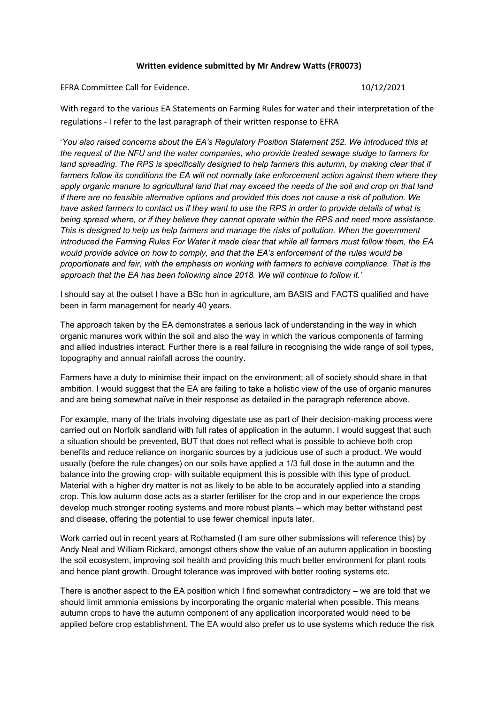## **Written evidence submitted by Mr Andrew Watts (FR0073)**

EFRA Committee Call for Evidence. 10/12/2021

With regard to the various EA Statements on Farming Rules for water and their interpretation of the regulations - I refer to the last paragraph of their written response to EFRA

'*You also raised concerns about the EA's Regulatory Position Statement 252. We introduced this at the request of the NFU and the water companies, who provide treated sewage sludge to farmers for land spreading. The RPS is specifically designed to help farmers this autumn, by making clear that if farmers follow its conditions the EA will not normally take enforcement action against them where they* apply organic manure to agricultural land that may exceed the needs of the soil and crop on that land if there are no feasible alternative options and provided this does not cause a risk of pollution. We have asked farmers to contact us if they want to use the RPS in order to provide details of what is *being spread where, or if they believe they cannot operate within the RPS and need more assistance. This is designed to help us help farmers and manage the risks of pollution. When the government* introduced the Farming Rules For Water it made clear that while all farmers must follow them, the EA *would provide advice on how to comply, and that the EA's enforcement of the rules would be proportionate and fair, with the emphasis on working with farmers to achieve compliance. That is the approach that the EA has been following since 2018. We will continue to follow it.'*

I should say at the outset I have a BSc hon in agriculture, am BASIS and FACTS qualified and have been in farm management for nearly 40 years.

The approach taken by the EA demonstrates a serious lack of understanding in the way in which organic manures work within the soil and also the way in which the various components of farming and allied industries interact. Further there is a real failure in recognising the wide range of soil types, topography and annual rainfall across the country.

Farmers have a duty to minimise their impact on the environment; all of society should share in that ambition. I would suggest that the EA are failing to take a holistic view of the use of organic manures and are being somewhat naïve in their response as detailed in the paragraph reference above.

For example, many of the trials involving digestate use as part of their decision-making process were carried out on Norfolk sandland with full rates of application in the autumn. I would suggest that such a situation should be prevented, BUT that does not reflect what is possible to achieve both crop benefits and reduce reliance on inorganic sources by a judicious use of such a product. We would usually (before the rule changes) on our soils have applied a 1/3 full dose in the autumn and the balance into the growing crop- with suitable equipment this is possible with this type of product. Material with a higher dry matter is not as likely to be able to be accurately applied into a standing crop. This low autumn dose acts as a starter fertiliser for the crop and in our experience the crops develop much stronger rooting systems and more robust plants – which may better withstand pest and disease, offering the potential to use fewer chemical inputs later.

Work carried out in recent years at Rothamsted (I am sure other submissions will reference this) by Andy Neal and William Rickard, amongst others show the value of an autumn application in boosting the soil ecosystem, improving soil health and providing this much better environment for plant roots and hence plant growth. Drought tolerance was improved with better rooting systems etc.

There is another aspect to the EA position which I find somewhat contradictory – we are told that we should limit ammonia emissions by incorporating the organic material when possible. This means autumn crops to have the autumn component of any application incorporated would need to be applied before crop establishment. The EA would also prefer us to use systems which reduce the risk